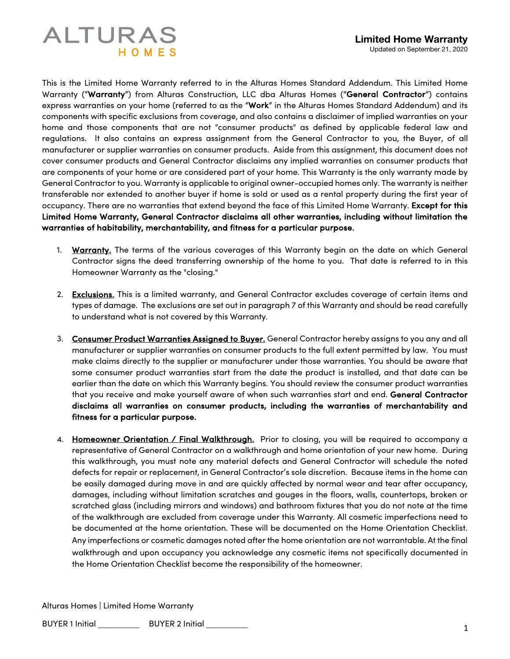## **ALTURAS** HOMFS

This is the Limited Home Warranty referred to in the Alturas Homes Standard Addendum. This Limited Home Warranty ("Warranty") from Alturas Construction, LLC dba Alturas Homes ("General Contractor") contains express warranties on your home (referred to as the "Work" in the Alturas Homes Standard Addendum) and its components with specific exclusions from coverage, and also contains a disclaimer of implied warranties on your home and those components that are not "consumer products" as defined by applicable federal law and regulations. It also contains an express assignment from the General Contractor to you, the Buyer, of all manufacturer or supplier warranties on consumer products. Aside from this assignment, this document does not cover consumer products and General Contractor disclaims any implied warranties on consumer products that are components of your home or are considered part of your home. This Warranty is the only warranty made by General Contractor to you. Warranty is applicable to original owner-occupied homes only. The warranty is neither transferable nor extended to another buyer if home is sold or used as a rental property during the first year of occupancy. There are no warranties that extend beyond the face of this Limited Home Warranty. Except for this Limited Home Warranty, General Contractor disclaims all other warranties, including without limitation the warranties of habitability, merchantability, and fitness for a particular purpose.

- 1. Warranty. The terms of the various coverages of this Warranty begin on the date on which General Contractor signs the deed transferring ownership of the home to you. That date is referred to in this Homeowner Warranty as the "closing."
- 2. Exclusions. This is a limited warranty, and General Contractor excludes coverage of certain items and types of damage. The exclusions are set out in paragraph 7 of this Warranty and should be read carefully to understand what is not covered by this Warranty.
- 3. Consumer Product Warranties Assigned to Buyer. General Contractor hereby assigns to you any and all manufacturer or supplier warranties on consumer products to the full extent permitted by law. You must make claims directly to the supplier or manufacturer under those warranties. You should be aware that some consumer product warranties start from the date the product is installed, and that date can be earlier than the date on which this Warranty begins. You should review the consumer product warranties that you receive and make yourself aware of when such warranties start and end. General Contractor disclaims all warranties on consumer products, including the warranties of merchantability and fitness for a particular purpose.
- 4. Homeowner Orientation / Final Walkthrough. Prior to closing, you will be required to accompany a representative of General Contractor on a walkthrough and home orientation of your new home. During this walkthrough, you must note any material defects and General Contractor will schedule the noted defects for repair or replacement, in General Contractor's sole discretion. Because items in the home can be easily damaged during move in and are quickly affected by normal wear and tear after occupancy, damages, including without limitation scratches and gouges in the floors, walls, countertops, broken or scratched glass (including mirrors and windows) and bathroom fixtures that you do not note at the time of the walkthrough are excluded from coverage under this Warranty. All cosmetic imperfections need to be documented at the home orientation. These will be documented on the Home Orientation Checklist. Any imperfections or cosmetic damages noted after the home orientation are not warrantable. At the final walkthrough and upon occupancy you acknowledge any cosmetic items not specifically documented in the Home Orientation Checklist become the responsibility of the homeowner.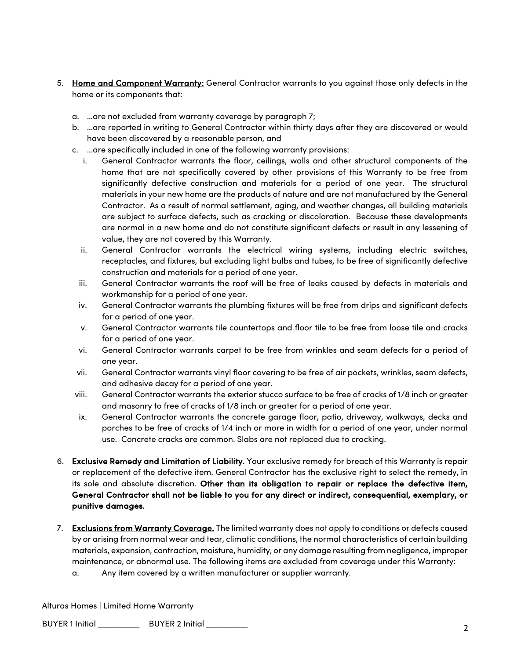- 5. Home and Component Warranty: General Contractor warrants to you against those only defects in the home or its components that:
	- a. …are not excluded from warranty coverage by paragraph 7;
	- b. …are reported in writing to General Contractor within thirty days after they are discovered or would have been discovered by a reasonable person, and
	- c. …are specifically included in one of the following warranty provisions:
		- i. General Contractor warrants the floor, ceilings, walls and other structural components of the home that are not specifically covered by other provisions of this Warranty to be free from significantly defective construction and materials for a period of one year. The structural materials in your new home are the products of nature and are not manufactured by the General Contractor. As a result of normal settlement, aging, and weather changes, all building materials are subject to surface defects, such as cracking or discoloration. Because these developments are normal in a new home and do not constitute significant defects or result in any lessening of value, they are not covered by this Warranty.
		- ii. General Contractor warrants the electrical wiring systems, including electric switches, receptacles, and fixtures, but excluding light bulbs and tubes, to be free of significantly defective construction and materials for a period of one year.
		- iii. General Contractor warrants the roof will be free of leaks caused by defects in materials and workmanship for a period of one year.
		- iv. General Contractor warrants the plumbing fixtures will be free from drips and significant defects for a period of one year.
		- v. General Contractor warrants tile countertops and floor tile to be free from loose tile and cracks for a period of one year.
		- vi. General Contractor warrants carpet to be free from wrinkles and seam defects for a period of one year.
		- vii. General Contractor warrants vinyl floor covering to be free of air pockets, wrinkles, seam defects, and adhesive decay for a period of one year.
	- viii. General Contractor warrants the exterior stucco surface to be free of cracks of 1/8 inch or greater and masonry to free of cracks of 1/8 inch or greater for a period of one year.
	- ix. General Contractor warrants the concrete garage floor, patio, driveway, walkways, decks and porches to be free of cracks of 1/4 inch or more in width for a period of one year, under normal use. Concrete cracks are common. Slabs are not replaced due to cracking.
- 6. Exclusive Remedy and Limitation of Liability. Your exclusive remedy for breach of this Warranty is repair or replacement of the defective item. General Contractor has the exclusive right to select the remedy, in its sole and absolute discretion. Other than its obligation to repair or replace the defective item, General Contractor shall not be liable to you for any direct or indirect, consequential, exemplary, or punitive damages.
- 7. Exclusions from Warranty Coverage. The limited warranty does not apply to conditions or defects caused by or arising from normal wear and tear, climatic conditions, the normal characteristics of certain building materials, expansion, contraction, moisture, humidity, or any damage resulting from negligence, improper maintenance, or abnormal use. The following items are excluded from coverage under this Warranty:
	- a. Any item covered by a written manufacturer or supplier warranty.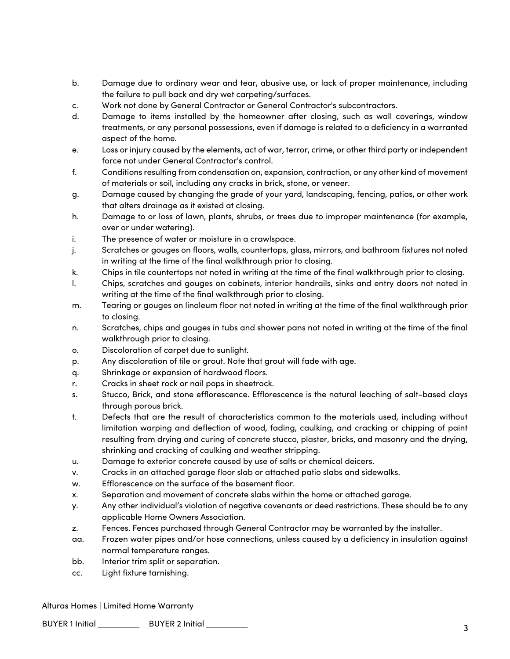- b. Damage due to ordinary wear and tear, abusive use, or lack of proper maintenance, including the failure to pull back and dry wet carpeting/surfaces.
- c. Work not done by General Contractor or General Contractor's subcontractors.
- d. Damage to items installed by the homeowner after closing, such as wall coverings, window treatments, or any personal possessions, even if damage is related to a deficiency in a warranted aspect of the home.
- e. Loss or injury caused by the elements, act of war, terror, crime, or other third party or independent force not under General Contractor's control.
- f. Conditions resulting from condensation on, expansion, contraction, or any other kind of movement of materials or soil, including any cracks in brick, stone, or veneer.
- g. Damage caused by changing the grade of your yard, landscaping, fencing, patios, or other work that alters drainage as it existed at closing.
- h. Damage to or loss of lawn, plants, shrubs, or trees due to improper maintenance (for example, over or under watering).
- i. The presence of water or moisture in a crawlspace.
- j. Scratches or gouges on floors, walls, countertops, glass, mirrors, and bathroom fixtures not noted in writing at the time of the final walkthrough prior to closing.
- k. Chips in tile countertops not noted in writing at the time of the final walkthrough prior to closing.
- l. Chips, scratches and gouges on cabinets, interior handrails, sinks and entry doors not noted in writing at the time of the final walkthrough prior to closing.
- m. Tearing or gouges on linoleum floor not noted in writing at the time of the final walkthrough prior to closing.
- n. Scratches, chips and gouges in tubs and shower pans not noted in writing at the time of the final walkthrough prior to closing.
- o. Discoloration of carpet due to sunlight.
- p. Any discoloration of tile or grout. Note that grout will fade with age.
- q. Shrinkage or expansion of hardwood floors.
- r. Cracks in sheet rock or nail pops in sheetrock.
- s. Stucco, Brick, and stone efflorescence. Efflorescence is the natural leaching of salt-based clays through porous brick.
- t. Defects that are the result of characteristics common to the materials used, including without limitation warping and deflection of wood, fading, caulking, and cracking or chipping of paint resulting from drying and curing of concrete stucco, plaster, bricks, and masonry and the drying, shrinking and cracking of caulking and weather stripping.
- u. Damage to exterior concrete caused by use of salts or chemical deicers.
- v. Cracks in an attached garage floor slab or attached patio slabs and sidewalks.
- w. Efflorescence on the surface of the basement floor.
- x. Separation and movement of concrete slabs within the home or attached garage.
- y. Any other individual's violation of negative covenants or deed restrictions. These should be to any applicable Home Owners Association.
- z. Fences. Fences purchased through General Contractor may be warranted by the installer.
- aa. Frozen water pipes and/or hose connections, unless caused by a deficiency in insulation against normal temperature ranges.
- bb. Interior trim split or separation.
- cc. Light fixture tarnishing.

## Alturas Homes | Limited Home Warranty

BUYER 1 Initial \_\_\_\_\_\_\_\_\_\_ BUYER <sup>2</sup> Initial \_\_\_\_\_\_\_\_\_\_ 3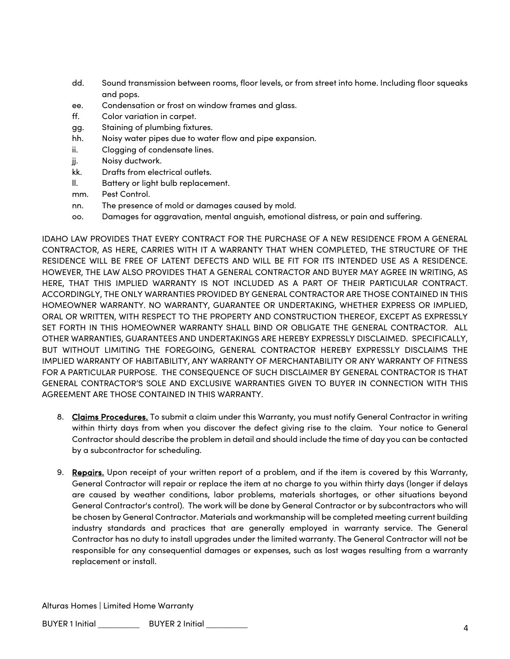- dd. Sound transmission between rooms, floor levels, or from street into home. Including floor squeaks and pops.
- ee. Condensation or frost on window frames and glass.
- ff. Color variation in carpet.
- gg. Staining of plumbing fixtures.
- hh. Noisy water pipes due to water flow and pipe expansion.
- ii. Clogging of condensate lines.
- jj. Noisy ductwork.
- kk. Drafts from electrical outlets.
- ll. Battery or light bulb replacement.
- mm. Pest Control.
- nn. The presence of mold or damages caused by mold.
- oo. Damages for aggravation, mental anguish, emotional distress, or pain and suffering.

IDAHO LAW PROVIDES THAT EVERY CONTRACT FOR THE PURCHASE OF A NEW RESIDENCE FROM A GENERAL CONTRACTOR, AS HERE, CARRIES WITH IT A WARRANTY THAT WHEN COMPLETED, THE STRUCTURE OF THE RESIDENCE WILL BE FREE OF LATENT DEFECTS AND WILL BE FIT FOR ITS INTENDED USE AS A RESIDENCE. HOWEVER, THE LAW ALSO PROVIDES THAT A GENERAL CONTRACTOR AND BUYER MAY AGREE IN WRITING, AS HERE, THAT THIS IMPLIED WARRANTY IS NOT INCLUDED AS A PART OF THEIR PARTICULAR CONTRACT. ACCORDINGLY, THE ONLY WARRANTIES PROVIDED BY GENERAL CONTRACTOR ARE THOSE CONTAINED IN THIS HOMEOWNER WARRANTY. NO WARRANTY, GUARANTEE OR UNDERTAKING, WHETHER EXPRESS OR IMPLIED, ORAL OR WRITTEN, WITH RESPECT TO THE PROPERTY AND CONSTRUCTION THEREOF, EXCEPT AS EXPRESSLY SET FORTH IN THIS HOMEOWNER WARRANTY SHALL BIND OR OBLIGATE THE GENERAL CONTRACTOR. ALL OTHER WARRANTIES, GUARANTEES AND UNDERTAKINGS ARE HEREBY EXPRESSLY DISCLAIMED. SPECIFICALLY, BUT WITHOUT LIMITING THE FOREGOING, GENERAL CONTRACTOR HEREBY EXPRESSLY DISCLAIMS THE IMPLIED WARRANTY OF HABITABILITY, ANY WARRANTY OF MERCHANTABILITY OR ANY WARRANTY OF FITNESS FOR A PARTICULAR PURPOSE. THE CONSEQUENCE OF SUCH DISCLAIMER BY GENERAL CONTRACTOR IS THAT GENERAL CONTRACTOR'S SOLE AND EXCLUSIVE WARRANTIES GIVEN TO BUYER IN CONNECTION WITH THIS AGREEMENT ARE THOSE CONTAINED IN THIS WARRANTY.

- 8. Claims Procedures. To submit a claim under this Warranty, you must notify General Contractor in writing within thirty days from when you discover the defect giving rise to the claim. Your notice to General Contractor should describe the problem in detail and should include the time of day you can be contacted by a subcontractor for scheduling.
- 9. Repairs. Upon receipt of your written report of a problem, and if the item is covered by this Warranty, General Contractor will repair or replace the item at no charge to you within thirty days (longer if delays are caused by weather conditions, labor problems, materials shortages, or other situations beyond General Contractor's control). The work will be done by General Contractor or by subcontractors who will be chosen by General Contractor. Materials and workmanship will be completed meeting current building industry standards and practices that are generally employed in warranty service. The General Contractor has no duty to install upgrades under the limited warranty. The General Contractor will not be responsible for any consequential damages or expenses, such as lost wages resulting from a warranty replacement or install.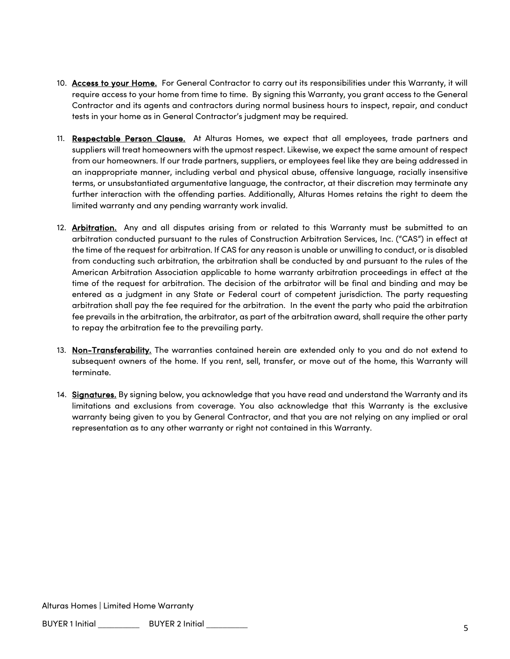- 10. Access to your Home. For General Contractor to carry out its responsibilities under this Warranty, it will require access to your home from time to time. By signing this Warranty, you grant access to the General Contractor and its agents and contractors during normal business hours to inspect, repair, and conduct tests in your home as in General Contractor's judgment may be required.
- 11. Respectable Person Clause. At Alturas Homes, we expect that all employees, trade partners and suppliers will treat homeowners with the upmost respect. Likewise, we expect the same amount of respect from our homeowners. If our trade partners, suppliers, or employees feel like they are being addressed in an inappropriate manner, including verbal and physical abuse, offensive language, racially insensitive terms, or unsubstantiated argumentative language, the contractor, at their discretion may terminate any further interaction with the offending parties. Additionally, Alturas Homes retains the right to deem the limited warranty and any pending warranty work invalid.
- 12. Arbitration. Any and all disputes arising from or related to this Warranty must be submitted to an arbitration conducted pursuant to the rules of Construction Arbitration Services, Inc. ("CAS") in effect at the time of the request for arbitration. If CAS for any reason is unable or unwilling to conduct, or is disabled from conducting such arbitration, the arbitration shall be conducted by and pursuant to the rules of the American Arbitration Association applicable to home warranty arbitration proceedings in effect at the time of the request for arbitration. The decision of the arbitrator will be final and binding and may be entered as a judgment in any State or Federal court of competent jurisdiction. The party requesting arbitration shall pay the fee required for the arbitration. In the event the party who paid the arbitration fee prevails in the arbitration, the arbitrator, as part of the arbitration award, shall require the other party to repay the arbitration fee to the prevailing party.
- 13. Non-Transferability. The warranties contained herein are extended only to you and do not extend to subsequent owners of the home. If you rent, sell, transfer, or move out of the home, this Warranty will terminate.
- 14. Signatures. By signing below, you acknowledge that you have read and understand the Warranty and its limitations and exclusions from coverage. You also acknowledge that this Warranty is the exclusive warranty being given to you by General Contractor, and that you are not relying on any implied or oral representation as to any other warranty or right not contained in this Warranty.